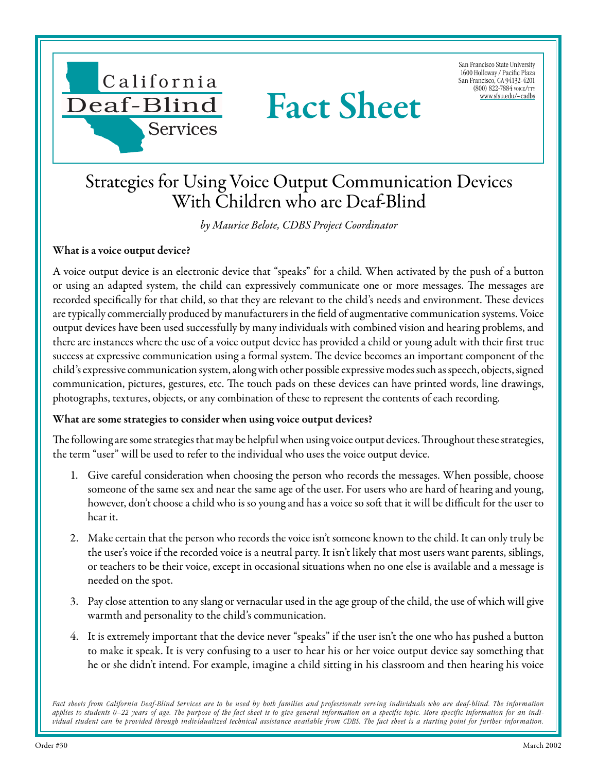

San Francisco State University 1600 Holloway / Pacific Plaza San Francisco, CA 94132-4201 (800) 822-7884 voice/tty [www.sfsu.edu/~cadbs](http://www.sfsu.edu/~cadbs/Facts.htmlwww.sfsu.edu/~cadbs)

## Strategies for Using Voice Output Communication Devices With Children who are Deaf-Blind

Fact Sheet

*by Maurice Belote, CDBS Project Coordinator*

## What is a voice output device?

A voice output device is an electronic device that "speaks" for a child. When activated by the push of a button or using an adapted system, the child can expressively communicate one or more messages. The messages are recorded specifically for that child, so that they are relevant to the child's needs and environment. These devices are typically commercially produced by manufacturers in the field of augmentative communication systems. Voice output devices have been used successfully by many individuals with combined vision and hearing problems, and there are instances where the use of a voice output device has provided a child or young adult with their first true success at expressive communication using a formal system. The device becomes an important component of the child's expressive communication system, along with other possible expressive modes such as speech, objects, signed communication, pictures, gestures, etc. The touch pads on these devices can have printed words, line drawings, photographs, textures, objects, or any combination of these to represent the contents of each recording.

## What are some strategies to consider when using voice output devices?

The following are some strategies that may be helpful when using voice output devices. Throughout these strategies, the term "user" will be used to refer to the individual who uses the voice output device.

- 1. Give careful consideration when choosing the person who records the messages. When possible, choose someone of the same sex and near the same age of the user. For users who are hard of hearing and young, however, don't choose a child who is so young and has a voice so soft that it will be difficult for the user to hear it.
- 2. Make certain that the person who records the voice isn't someone known to the child. It can only truly be the user's voice if the recorded voice is a neutral party. It isn't likely that most users want parents, siblings, or teachers to be their voice, except in occasional situations when no one else is available and a message is needed on the spot.
- 3. Pay close attention to any slang or vernacular used in the age group of the child, the use of which will give warmth and personality to the child's communication.
- 4. It is extremely important that the device never "speaks" if the user isn't the one who has pushed a button to make it speak. It is very confusing to a user to hear his or her voice output device say something that he or she didn't intend. For example, imagine a child sitting in his classroom and then hearing his voice

Fact sheets from California Deaf-Blind Services are to be used by both families and professionals serving individuals who are deaf-blind. The information *applies to students 0–22 years of age. The purpose of the fact sheet is to give general information on a specific topic. More specific information for an individual student can be provided through individualized technical assistance available from CDBS. The fact sheet is a starting point for further information.*